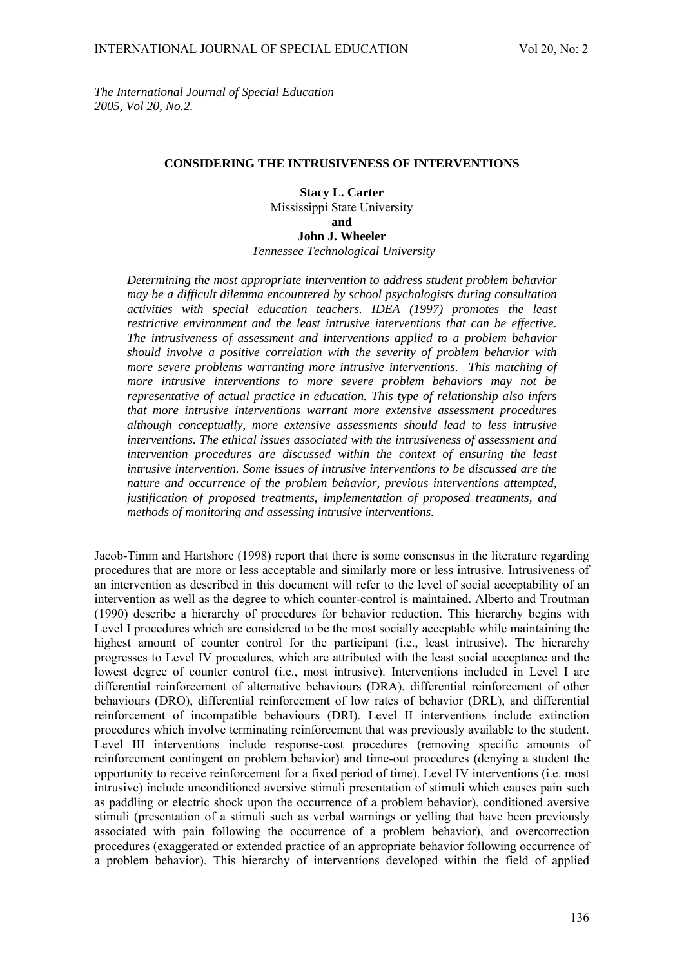*The International Journal of Special Education 2005, Vol 20, No.2.*

## **CONSIDERING THE INTRUSIVENESS OF INTERVENTIONS**

**Stacy L. Carter**  Mississippi State University **and John J. Wheeler**   *Tennessee Technological University* 

*Determining the most appropriate intervention to address student problem behavior may be a difficult dilemma encountered by school psychologists during consultation activities with special education teachers. IDEA (1997) promotes the least restrictive environment and the least intrusive interventions that can be effective. The intrusiveness of assessment and interventions applied to a problem behavior should involve a positive correlation with the severity of problem behavior with more severe problems warranting more intrusive interventions. This matching of more intrusive interventions to more severe problem behaviors may not be representative of actual practice in education. This type of relationship also infers that more intrusive interventions warrant more extensive assessment procedures although conceptually, more extensive assessments should lead to less intrusive interventions. The ethical issues associated with the intrusiveness of assessment and intervention procedures are discussed within the context of ensuring the least intrusive intervention. Some issues of intrusive interventions to be discussed are the nature and occurrence of the problem behavior, previous interventions attempted, justification of proposed treatments, implementation of proposed treatments, and methods of monitoring and assessing intrusive interventions.* 

Jacob-Timm and Hartshore (1998) report that there is some consensus in the literature regarding procedures that are more or less acceptable and similarly more or less intrusive. Intrusiveness of an intervention as described in this document will refer to the level of social acceptability of an intervention as well as the degree to which counter-control is maintained. Alberto and Troutman (1990) describe a hierarchy of procedures for behavior reduction. This hierarchy begins with Level I procedures which are considered to be the most socially acceptable while maintaining the highest amount of counter control for the participant (i.e., least intrusive). The hierarchy progresses to Level IV procedures, which are attributed with the least social acceptance and the lowest degree of counter control (i.e., most intrusive). Interventions included in Level I are differential reinforcement of alternative behaviours (DRA), differential reinforcement of other behaviours (DRO), differential reinforcement of low rates of behavior (DRL), and differential reinforcement of incompatible behaviours (DRI). Level II interventions include extinction procedures which involve terminating reinforcement that was previously available to the student. Level III interventions include response-cost procedures (removing specific amounts of reinforcement contingent on problem behavior) and time-out procedures (denying a student the opportunity to receive reinforcement for a fixed period of time). Level IV interventions (i.e. most intrusive) include unconditioned aversive stimuli presentation of stimuli which causes pain such as paddling or electric shock upon the occurrence of a problem behavior), conditioned aversive stimuli (presentation of a stimuli such as verbal warnings or yelling that have been previously associated with pain following the occurrence of a problem behavior), and overcorrection procedures (exaggerated or extended practice of an appropriate behavior following occurrence of a problem behavior). This hierarchy of interventions developed within the field of applied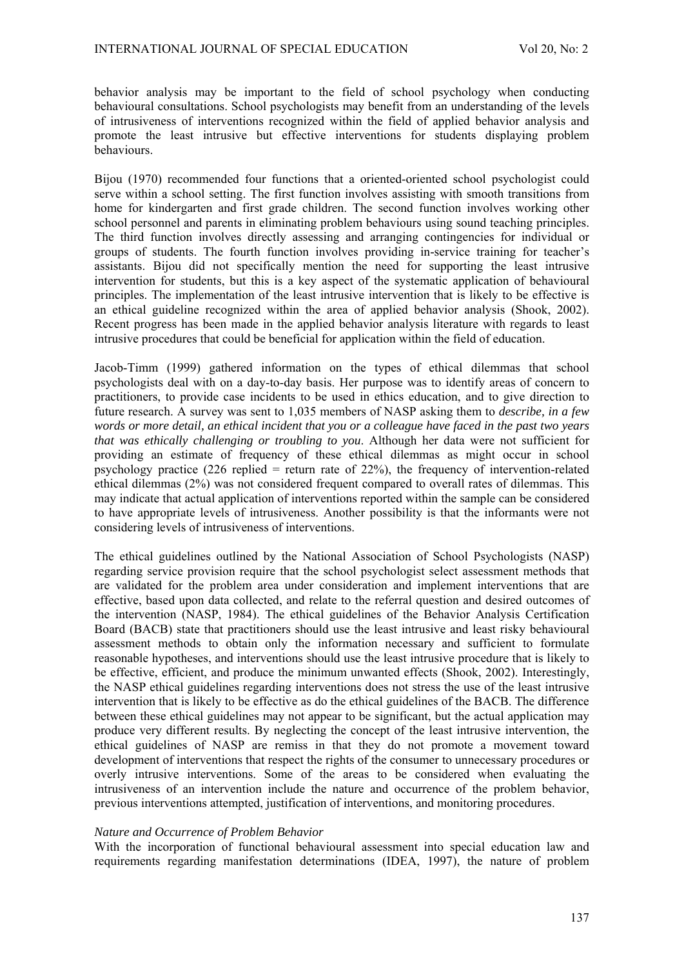behavior analysis may be important to the field of school psychology when conducting behavioural consultations. School psychologists may benefit from an understanding of the levels of intrusiveness of interventions recognized within the field of applied behavior analysis and promote the least intrusive but effective interventions for students displaying problem **b**ehaviours

Bijou (1970) recommended four functions that a oriented-oriented school psychologist could serve within a school setting. The first function involves assisting with smooth transitions from home for kindergarten and first grade children. The second function involves working other school personnel and parents in eliminating problem behaviours using sound teaching principles. The third function involves directly assessing and arranging contingencies for individual or groups of students. The fourth function involves providing in-service training for teacher's assistants. Bijou did not specifically mention the need for supporting the least intrusive intervention for students, but this is a key aspect of the systematic application of behavioural principles. The implementation of the least intrusive intervention that is likely to be effective is an ethical guideline recognized within the area of applied behavior analysis (Shook, 2002). Recent progress has been made in the applied behavior analysis literature with regards to least intrusive procedures that could be beneficial for application within the field of education.

Jacob-Timm (1999) gathered information on the types of ethical dilemmas that school psychologists deal with on a day-to-day basis. Her purpose was to identify areas of concern to practitioners, to provide case incidents to be used in ethics education, and to give direction to future research. A survey was sent to 1,035 members of NASP asking them to *describe, in a few words or more detail, an ethical incident that you or a colleague have faced in the past two years that was ethically challenging or troubling to you*. Although her data were not sufficient for providing an estimate of frequency of these ethical dilemmas as might occur in school psychology practice (226 replied = return rate of 22%), the frequency of intervention-related ethical dilemmas (2%) was not considered frequent compared to overall rates of dilemmas. This may indicate that actual application of interventions reported within the sample can be considered to have appropriate levels of intrusiveness. Another possibility is that the informants were not considering levels of intrusiveness of interventions.

The ethical guidelines outlined by the National Association of School Psychologists (NASP) regarding service provision require that the school psychologist select assessment methods that are validated for the problem area under consideration and implement interventions that are effective, based upon data collected, and relate to the referral question and desired outcomes of the intervention (NASP, 1984). The ethical guidelines of the Behavior Analysis Certification Board (BACB) state that practitioners should use the least intrusive and least risky behavioural assessment methods to obtain only the information necessary and sufficient to formulate reasonable hypotheses, and interventions should use the least intrusive procedure that is likely to be effective, efficient, and produce the minimum unwanted effects (Shook, 2002). Interestingly, the NASP ethical guidelines regarding interventions does not stress the use of the least intrusive intervention that is likely to be effective as do the ethical guidelines of the BACB. The difference between these ethical guidelines may not appear to be significant, but the actual application may produce very different results. By neglecting the concept of the least intrusive intervention, the ethical guidelines of NASP are remiss in that they do not promote a movement toward development of interventions that respect the rights of the consumer to unnecessary procedures or overly intrusive interventions. Some of the areas to be considered when evaluating the intrusiveness of an intervention include the nature and occurrence of the problem behavior, previous interventions attempted, justification of interventions, and monitoring procedures.

#### *Nature and Occurrence of Problem Behavior*

With the incorporation of functional behavioural assessment into special education law and requirements regarding manifestation determinations (IDEA, 1997), the nature of problem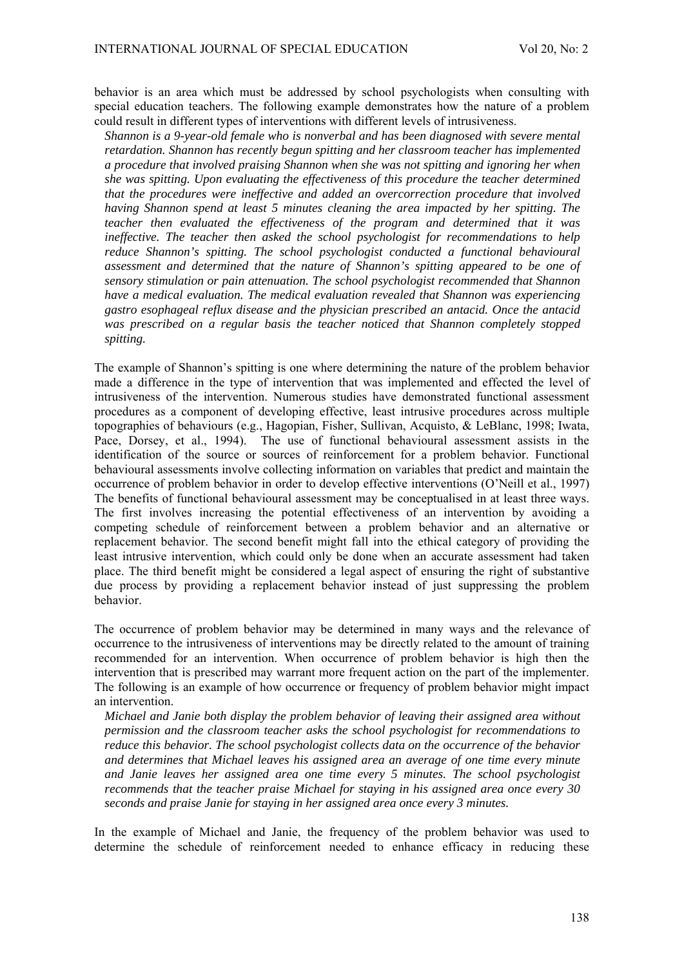behavior is an area which must be addressed by school psychologists when consulting with special education teachers. The following example demonstrates how the nature of a problem could result in different types of interventions with different levels of intrusiveness.

*Shannon is a 9-year-old female who is nonverbal and has been diagnosed with severe mental retardation. Shannon has recently begun spitting and her classroom teacher has implemented a procedure that involved praising Shannon when she was not spitting and ignoring her when she was spitting. Upon evaluating the effectiveness of this procedure the teacher determined that the procedures were ineffective and added an overcorrection procedure that involved having Shannon spend at least 5 minutes cleaning the area impacted by her spitting. The teacher then evaluated the effectiveness of the program and determined that it was ineffective. The teacher then asked the school psychologist for recommendations to help reduce Shannon's spitting. The school psychologist conducted a functional behavioural assessment and determined that the nature of Shannon's spitting appeared to be one of sensory stimulation or pain attenuation. The school psychologist recommended that Shannon have a medical evaluation. The medical evaluation revealed that Shannon was experiencing gastro esophageal reflux disease and the physician prescribed an antacid. Once the antacid was prescribed on a regular basis the teacher noticed that Shannon completely stopped spitting.* 

The example of Shannon's spitting is one where determining the nature of the problem behavior made a difference in the type of intervention that was implemented and effected the level of intrusiveness of the intervention. Numerous studies have demonstrated functional assessment procedures as a component of developing effective, least intrusive procedures across multiple topographies of behaviours (e.g., Hagopian, Fisher, Sullivan, Acquisto, & LeBlanc, 1998; Iwata, Pace, Dorsey, et al., 1994). The use of functional behavioural assessment assists in the identification of the source or sources of reinforcement for a problem behavior. Functional behavioural assessments involve collecting information on variables that predict and maintain the occurrence of problem behavior in order to develop effective interventions (O'Neill et al., 1997) The benefits of functional behavioural assessment may be conceptualised in at least three ways. The first involves increasing the potential effectiveness of an intervention by avoiding a competing schedule of reinforcement between a problem behavior and an alternative or replacement behavior. The second benefit might fall into the ethical category of providing the least intrusive intervention, which could only be done when an accurate assessment had taken place. The third benefit might be considered a legal aspect of ensuring the right of substantive due process by providing a replacement behavior instead of just suppressing the problem behavior.

The occurrence of problem behavior may be determined in many ways and the relevance of occurrence to the intrusiveness of interventions may be directly related to the amount of training recommended for an intervention. When occurrence of problem behavior is high then the intervention that is prescribed may warrant more frequent action on the part of the implementer. The following is an example of how occurrence or frequency of problem behavior might impact an intervention.

*Michael and Janie both display the problem behavior of leaving their assigned area without permission and the classroom teacher asks the school psychologist for recommendations to reduce this behavior. The school psychologist collects data on the occurrence of the behavior and determines that Michael leaves his assigned area an average of one time every minute and Janie leaves her assigned area one time every 5 minutes. The school psychologist recommends that the teacher praise Michael for staying in his assigned area once every 30 seconds and praise Janie for staying in her assigned area once every 3 minutes.* 

In the example of Michael and Janie, the frequency of the problem behavior was used to determine the schedule of reinforcement needed to enhance efficacy in reducing these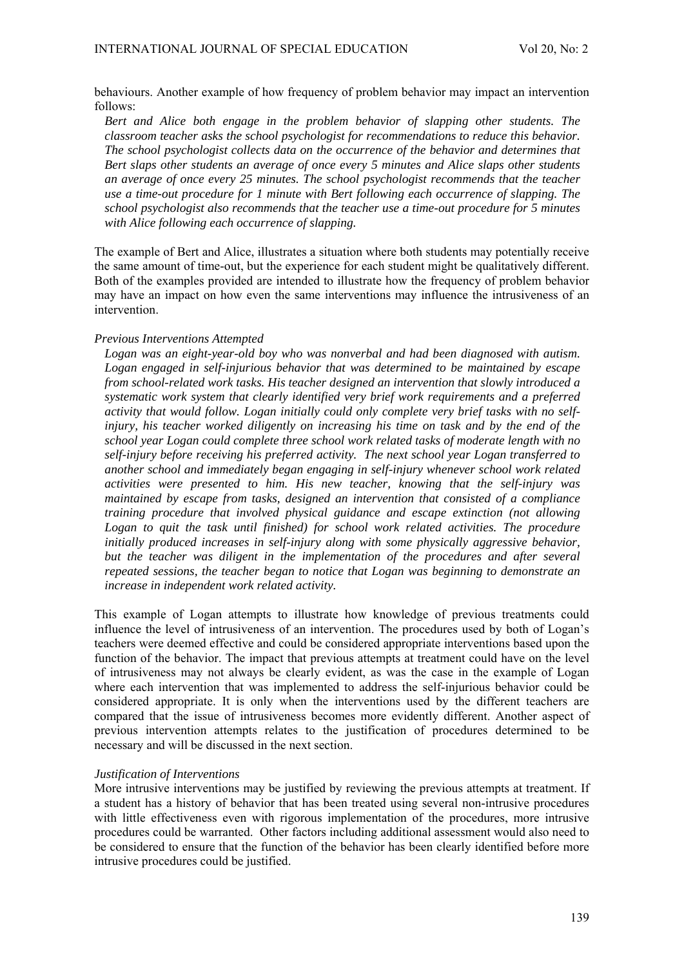behaviours. Another example of how frequency of problem behavior may impact an intervention follows:

*Bert and Alice both engage in the problem behavior of slapping other students. The classroom teacher asks the school psychologist for recommendations to reduce this behavior. The school psychologist collects data on the occurrence of the behavior and determines that Bert slaps other students an average of once every 5 minutes and Alice slaps other students an average of once every 25 minutes. The school psychologist recommends that the teacher use a time-out procedure for 1 minute with Bert following each occurrence of slapping. The school psychologist also recommends that the teacher use a time-out procedure for 5 minutes with Alice following each occurrence of slapping.* 

The example of Bert and Alice, illustrates a situation where both students may potentially receive the same amount of time-out, but the experience for each student might be qualitatively different. Both of the examples provided are intended to illustrate how the frequency of problem behavior may have an impact on how even the same interventions may influence the intrusiveness of an intervention.

## *Previous Interventions Attempted*

*Logan was an eight-year-old boy who was nonverbal and had been diagnosed with autism. Logan engaged in self-injurious behavior that was determined to be maintained by escape from school-related work tasks. His teacher designed an intervention that slowly introduced a systematic work system that clearly identified very brief work requirements and a preferred activity that would follow. Logan initially could only complete very brief tasks with no selfinjury, his teacher worked diligently on increasing his time on task and by the end of the school year Logan could complete three school work related tasks of moderate length with no self-injury before receiving his preferred activity. The next school year Logan transferred to another school and immediately began engaging in self-injury whenever school work related activities were presented to him. His new teacher, knowing that the self-injury was maintained by escape from tasks, designed an intervention that consisted of a compliance training procedure that involved physical guidance and escape extinction (not allowing*  Logan to quit the task until finished) for school work related activities. The procedure *initially produced increases in self-injury along with some physically aggressive behavior, but the teacher was diligent in the implementation of the procedures and after several repeated sessions, the teacher began to notice that Logan was beginning to demonstrate an increase in independent work related activity.* 

This example of Logan attempts to illustrate how knowledge of previous treatments could influence the level of intrusiveness of an intervention. The procedures used by both of Logan's teachers were deemed effective and could be considered appropriate interventions based upon the function of the behavior. The impact that previous attempts at treatment could have on the level of intrusiveness may not always be clearly evident, as was the case in the example of Logan where each intervention that was implemented to address the self-injurious behavior could be considered appropriate. It is only when the interventions used by the different teachers are compared that the issue of intrusiveness becomes more evidently different. Another aspect of previous intervention attempts relates to the justification of procedures determined to be necessary and will be discussed in the next section.

### *Justification of Interventions*

More intrusive interventions may be justified by reviewing the previous attempts at treatment. If a student has a history of behavior that has been treated using several non-intrusive procedures with little effectiveness even with rigorous implementation of the procedures, more intrusive procedures could be warranted. Other factors including additional assessment would also need to be considered to ensure that the function of the behavior has been clearly identified before more intrusive procedures could be justified.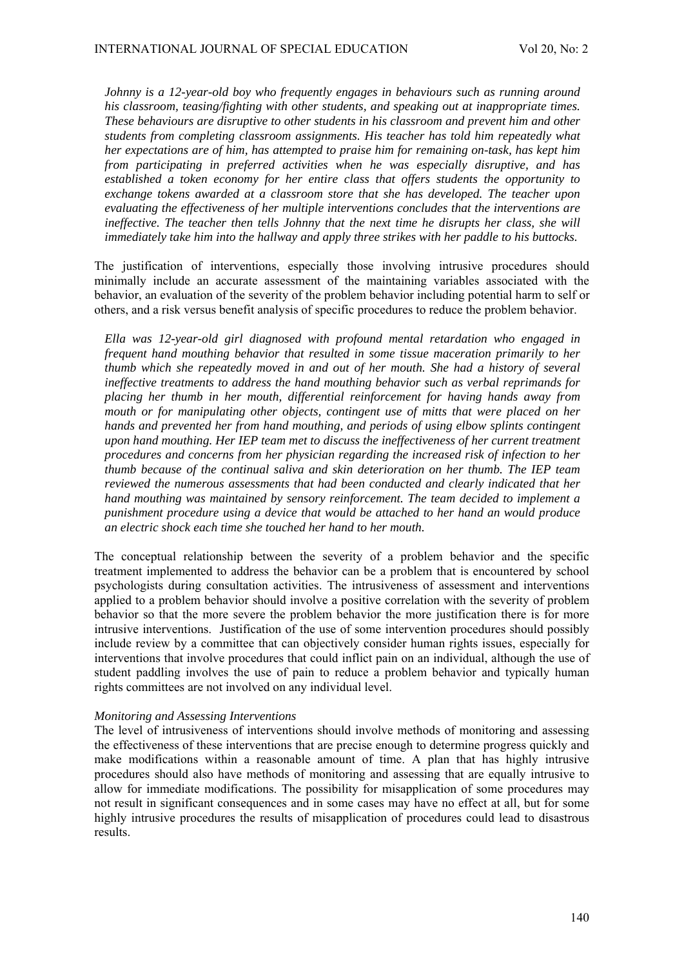*Johnny is a 12-year-old boy who frequently engages in behaviours such as running around his classroom, teasing/fighting with other students, and speaking out at inappropriate times. These behaviours are disruptive to other students in his classroom and prevent him and other students from completing classroom assignments. His teacher has told him repeatedly what her expectations are of him, has attempted to praise him for remaining on-task, has kept him from participating in preferred activities when he was especially disruptive, and has established a token economy for her entire class that offers students the opportunity to exchange tokens awarded at a classroom store that she has developed. The teacher upon evaluating the effectiveness of her multiple interventions concludes that the interventions are ineffective. The teacher then tells Johnny that the next time he disrupts her class, she will immediately take him into the hallway and apply three strikes with her paddle to his buttocks.* 

The justification of interventions, especially those involving intrusive procedures should minimally include an accurate assessment of the maintaining variables associated with the behavior, an evaluation of the severity of the problem behavior including potential harm to self or others, and a risk versus benefit analysis of specific procedures to reduce the problem behavior.

*Ella was 12-year-old girl diagnosed with profound mental retardation who engaged in frequent hand mouthing behavior that resulted in some tissue maceration primarily to her thumb which she repeatedly moved in and out of her mouth. She had a history of several ineffective treatments to address the hand mouthing behavior such as verbal reprimands for placing her thumb in her mouth, differential reinforcement for having hands away from mouth or for manipulating other objects, contingent use of mitts that were placed on her hands and prevented her from hand mouthing, and periods of using elbow splints contingent upon hand mouthing. Her IEP team met to discuss the ineffectiveness of her current treatment procedures and concerns from her physician regarding the increased risk of infection to her thumb because of the continual saliva and skin deterioration on her thumb. The IEP team reviewed the numerous assessments that had been conducted and clearly indicated that her hand mouthing was maintained by sensory reinforcement. The team decided to implement a punishment procedure using a device that would be attached to her hand an would produce an electric shock each time she touched her hand to her mouth.* 

The conceptual relationship between the severity of a problem behavior and the specific treatment implemented to address the behavior can be a problem that is encountered by school psychologists during consultation activities. The intrusiveness of assessment and interventions applied to a problem behavior should involve a positive correlation with the severity of problem behavior so that the more severe the problem behavior the more justification there is for more intrusive interventions. Justification of the use of some intervention procedures should possibly include review by a committee that can objectively consider human rights issues, especially for interventions that involve procedures that could inflict pain on an individual, although the use of student paddling involves the use of pain to reduce a problem behavior and typically human rights committees are not involved on any individual level.

### *Monitoring and Assessing Interventions*

The level of intrusiveness of interventions should involve methods of monitoring and assessing the effectiveness of these interventions that are precise enough to determine progress quickly and make modifications within a reasonable amount of time. A plan that has highly intrusive procedures should also have methods of monitoring and assessing that are equally intrusive to allow for immediate modifications. The possibility for misapplication of some procedures may not result in significant consequences and in some cases may have no effect at all, but for some highly intrusive procedures the results of misapplication of procedures could lead to disastrous results.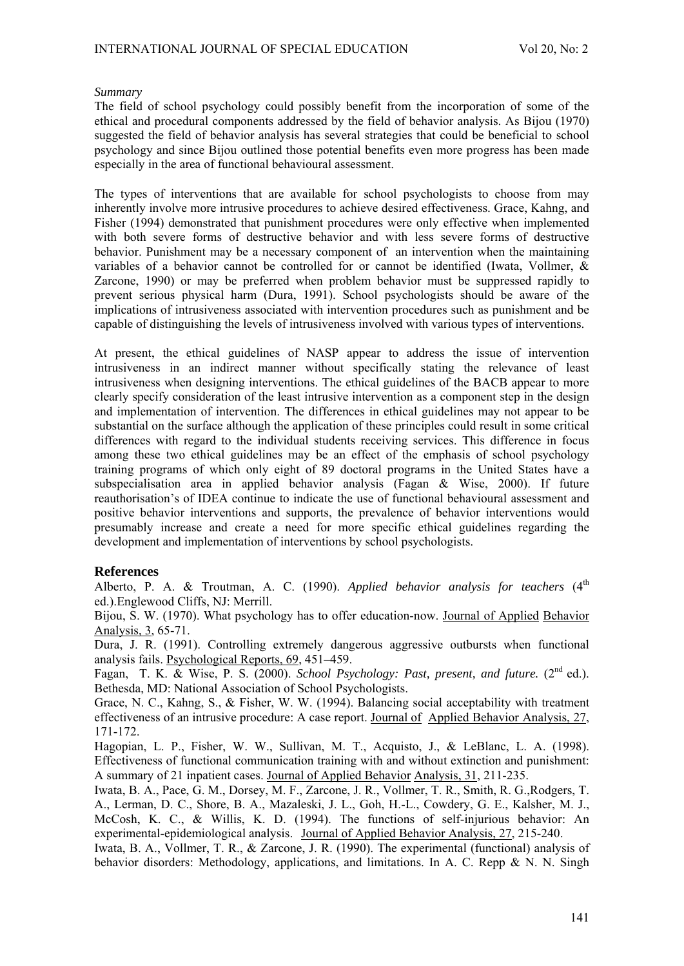## *Summary*

The field of school psychology could possibly benefit from the incorporation of some of the ethical and procedural components addressed by the field of behavior analysis. As Bijou (1970) suggested the field of behavior analysis has several strategies that could be beneficial to school psychology and since Bijou outlined those potential benefits even more progress has been made especially in the area of functional behavioural assessment.

The types of interventions that are available for school psychologists to choose from may inherently involve more intrusive procedures to achieve desired effectiveness. Grace, Kahng, and Fisher (1994) demonstrated that punishment procedures were only effective when implemented with both severe forms of destructive behavior and with less severe forms of destructive behavior. Punishment may be a necessary component of an intervention when the maintaining variables of a behavior cannot be controlled for or cannot be identified (Iwata, Vollmer, & Zarcone, 1990) or may be preferred when problem behavior must be suppressed rapidly to prevent serious physical harm (Dura, 1991). School psychologists should be aware of the implications of intrusiveness associated with intervention procedures such as punishment and be capable of distinguishing the levels of intrusiveness involved with various types of interventions.

At present, the ethical guidelines of NASP appear to address the issue of intervention intrusiveness in an indirect manner without specifically stating the relevance of least intrusiveness when designing interventions. The ethical guidelines of the BACB appear to more clearly specify consideration of the least intrusive intervention as a component step in the design and implementation of intervention. The differences in ethical guidelines may not appear to be substantial on the surface although the application of these principles could result in some critical differences with regard to the individual students receiving services. This difference in focus among these two ethical guidelines may be an effect of the emphasis of school psychology training programs of which only eight of 89 doctoral programs in the United States have a subspecialisation area in applied behavior analysis (Fagan & Wise, 2000). If future reauthorisation's of IDEA continue to indicate the use of functional behavioural assessment and positive behavior interventions and supports, the prevalence of behavior interventions would presumably increase and create a need for more specific ethical guidelines regarding the development and implementation of interventions by school psychologists.

# **References**

Alberto, P. A. & Troutman, A. C. (1990). *Applied behavior analysis for teachers* (4<sup>th</sup>) ed.).Englewood Cliffs, NJ: Merrill.

Bijou, S. W. (1970). What psychology has to offer education-now. Journal of Applied Behavior Analysis, 3, 65-71.

Dura, J. R. (1991). Controlling extremely dangerous aggressive outbursts when functional analysis fails. Psychological Reports, 69, 451–459.

Fagan, T. K. & Wise, P. S. (2000). *School Psychology: Past, present, and future.* (2<sup>nd</sup> ed.). Bethesda, MD: National Association of School Psychologists.

Grace, N. C., Kahng, S., & Fisher, W. W. (1994). Balancing social acceptability with treatment effectiveness of an intrusive procedure: A case report. Journal ofApplied Behavior Analysis, 27, 171-172.

Hagopian, L. P., Fisher, W. W., Sullivan, M. T., Acquisto, J., & LeBlanc, L. A. (1998). Effectiveness of functional communication training with and without extinction and punishment: A summary of 21 inpatient cases. Journal of Applied Behavior Analysis, 31, 211-235.

Iwata, B. A., Pace, G. M., Dorsey, M. F., Zarcone, J. R., Vollmer, T. R., Smith, R. G.,Rodgers, T. A., Lerman, D. C., Shore, B. A., Mazaleski, J. L., Goh, H.-L., Cowdery, G. E., Kalsher, M. J., McCosh, K. C., & Willis, K. D. (1994). The functions of self-injurious behavior: An experimental-epidemiological analysis. Journal of Applied Behavior Analysis, 27, 215-240.

Iwata, B. A., Vollmer, T. R., & Zarcone, J. R. (1990). The experimental (functional) analysis of behavior disorders: Methodology, applications, and limitations. In A. C. Repp & N. N. Singh